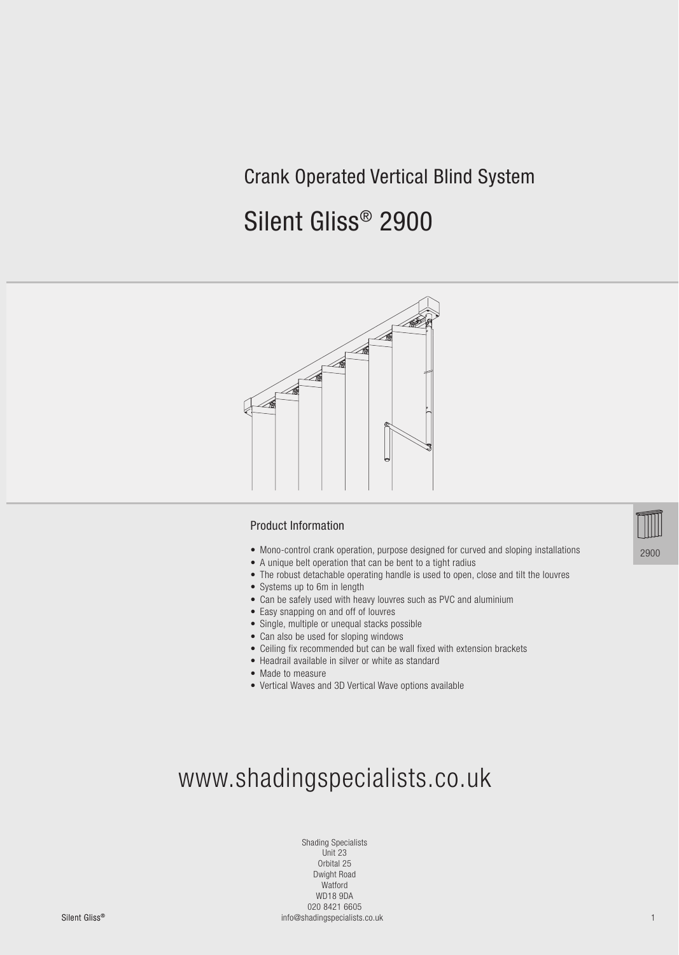# Crank Operated Vertical Blind System

# Silent Gliss® 2900



#### Product Information

- Mono-control crank operation, purpose designed for curved and sloping installations
- A unique belt operation that can be bent to a tight radius
- The robust detachable operating handle is used to open, close and tilt the louvres
- Systems up to 6m in length
- Can be safely used with heavy louvres such as PVC and aluminium
- Easy snapping on and off of louvres
- Single, multiple or unequal stacks possible
- Can also be used for sloping windows
- Ceiling fix recommended but can be wall fixed with extension brackets
- Headrail available in silver or white as standard
- Made to measure
- Vertical Waves and 3D Vertical Wave options available



Shading Specialists Unit 23 Orbital 25 Dwight Road Watford WD18 9DA 020 8421 6605

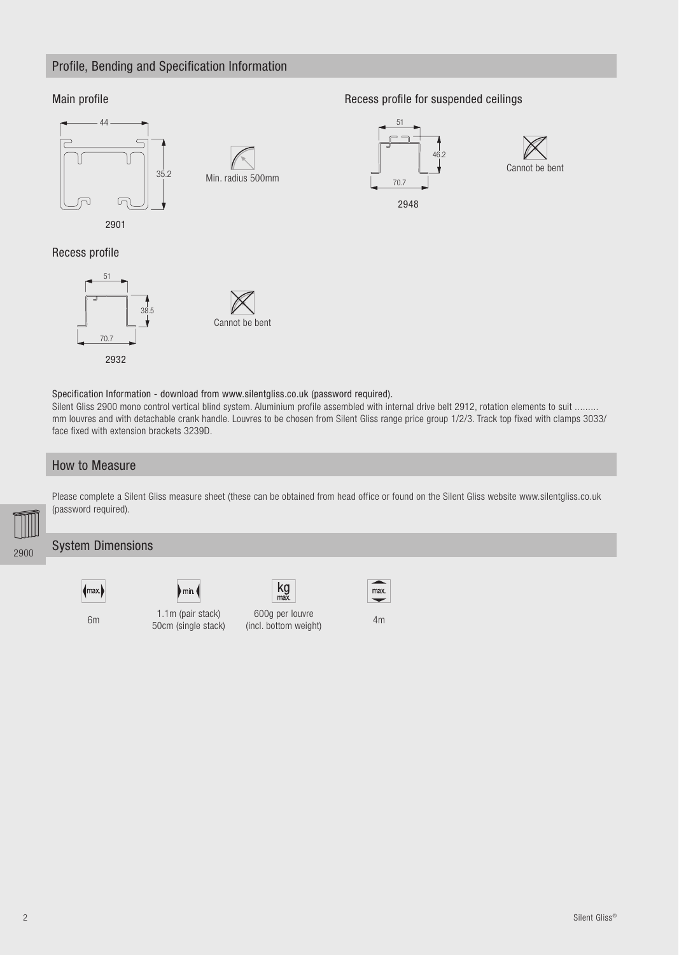### Profile, Bending and Specification Information

#### Main profile



Min. radius 500mm

Recess profile for suspended ceilings



2948



#### Recess profile



Specification Information - download from www.silentgliss.co.uk (password required).

Silent Gliss 2900 mono control vertical blind system. Aluminium profile assembled with internal drive belt 2912, rotation elements to suit ......... mm louvres and with detachable crank handle. Louvres to be chosen from Silent Gliss range price group 1/2/3. Track top fixed with clamps 3033/ face fixed with extension brackets 3239D.

#### How to Measure



Please complete a Silent Gliss measure sheet (these can be obtained from head office or found on the Silent Gliss website www.silentgliss.co.uk (password required).

#### System Dimensions



6m 1.1m (pair stack)

50cm (single stack)

 $\mathsf{m}$ in

600g per louvre obog per louvie<br>(incl. bottom weight) 4m

 $kg<sub>max</sub>$ 

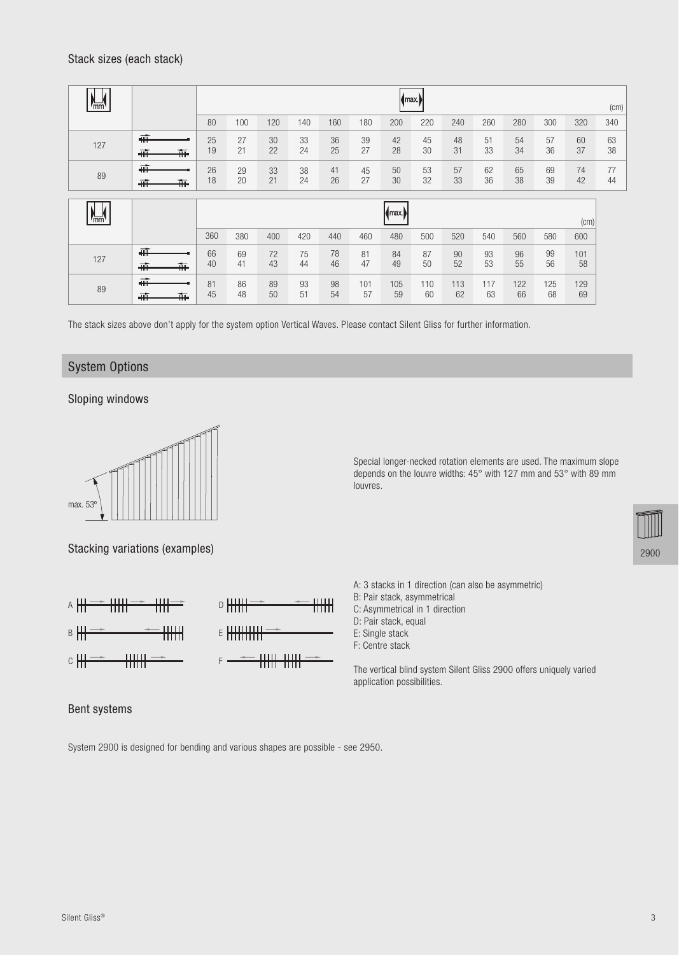| mm  |                                                                    |          | max.<br>(cm) |          |          |          |           |                |           |           |           |           |           |           |          |
|-----|--------------------------------------------------------------------|----------|--------------|----------|----------|----------|-----------|----------------|-----------|-----------|-----------|-----------|-----------|-----------|----------|
|     |                                                                    | 80       | 100          | 120      | 140      | 160      | 180       | 200            | 220       | 240       | 260       | 280       | 300       | 320       | 340      |
| 127 | <del>कॉ।</del><br><del>4₩</del><br><del>T⊪</del>                   | 25<br>19 | 27<br>21     | 30<br>22 | 33<br>24 | 36<br>25 | 39<br>27  | 42<br>28       | 45<br>30  | 48<br>31  | 51<br>33  | 54<br>34  | 57<br>36  | 60<br>37  | 63<br>38 |
| 89  | <del>क</del><br>蕪<br>$\overline{+}$                                | 26<br>18 | 29<br>20     | 33<br>21 | 38<br>24 | 41<br>26 | 45<br>27  | 50<br>30       | 53<br>32  | 57<br>33  | 62<br>36  | 65<br>38  | 69<br>39  | 74<br>42  | 77<br>44 |
| mm  |                                                                    |          |              |          |          |          |           | $\mathsf{max}$ |           |           |           |           |           | (cm)      |          |
|     |                                                                    | 360      | 380          | 400      | 420      | 440      | 460       | 480            | 500       | 520       | 540       | 560       | 580       | 600       |          |
| 127 | $\frac{1}{\sqrt{1+\frac{1}{2}}}$<br><del>क</del><br>$\overline{+}$ | 66<br>40 | 69<br>41     | 72<br>43 | 75<br>44 | 78<br>46 | 81<br>47  | 84<br>49       | 87<br>50  | 90<br>52  | 93<br>53  | 96<br>55  | 99<br>56  | 101<br>58 |          |
| 89  | <b>+##</b><br>轟<br>$\frac{1}{100}$                                 | 81<br>45 | 86<br>48     | 89<br>50 | 93<br>51 | 98<br>54 | 101<br>57 | 105<br>59      | 110<br>60 | 113<br>62 | 117<br>63 | 122<br>66 | 125<br>68 | 129<br>69 |          |

The stack sizes above don't apply for the system option Vertical Waves. Please contact Silent Gliss for further information.

#### System Options

Sloping windows



Stacking variations (examples)



Special longer-necked rotation elements are used. The maximum slope depends on the louvre widths: 45° with 127 mm and 53° with 89 mm louvres.



- A: 3 stacks in 1 direction (can also be asymmetric)
- B: Pair stack, asymmetrical
- C: Asymmetrical in 1 direction
- D: Pair stack, equal
- E: Single stack
- F: Centre stack

The vertical blind system Silent Gliss 2900 offers uniquely varied application possibilities.

#### Bent systems

System 2900 is designed for bending and various shapes are possible - see 2950.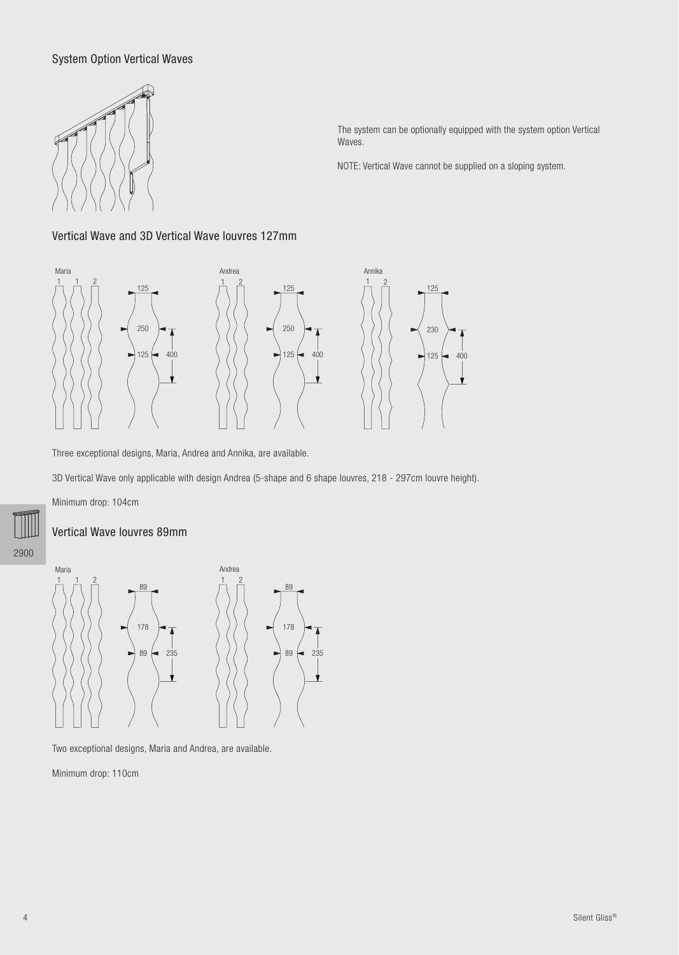#### System Option Vertical Waves



The system can be optionally equipped with the system option Vertical Waves.

NOTE: Vertical Wave cannot be supplied on a sloping system.

#### Vertical Wave and 3D Vertical Wave louvres 127mm



Three exceptional designs, Maria, Andrea and Annika, are available.

3D Vertical Wave only applicable with design Andrea (5-shape and 6 shape louvres, 218 - 297cm louvre height).

Minimum drop: 104cm

#### Vertical Wave louvres 89mm

2900



Two exceptional designs, Maria and Andrea, are available.

Minimum drop: 110cm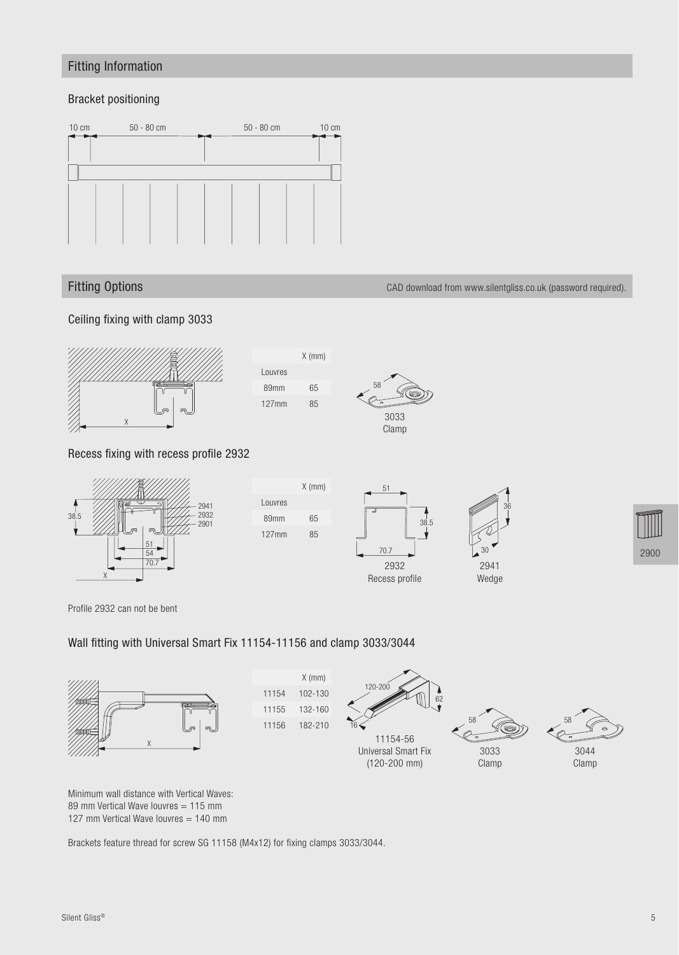## Fitting Information

#### Bracket positioning



#### Fitting Options CAD download from www.silentgliss.co.uk (password required).

Ceiling fixing with clamp 3033



#### Recess fixing with recess profile 2932



Profile 2932 can not be bent

#### Wall fitting with Universal Smart Fix 11154-11156 and clamp 3033/3044

Louvres

Louvres

89mm 65 127mm 85

127mm 85

X (mm)



X (mm) 11154 102-130 11155 132-160 11156 182-210





58 3044

Clamp



Brackets feature thread for screw SG 11158 (M4x12) for fixing clamps 3033/3044.



3033 Clamp



2941 Wedge

30

36

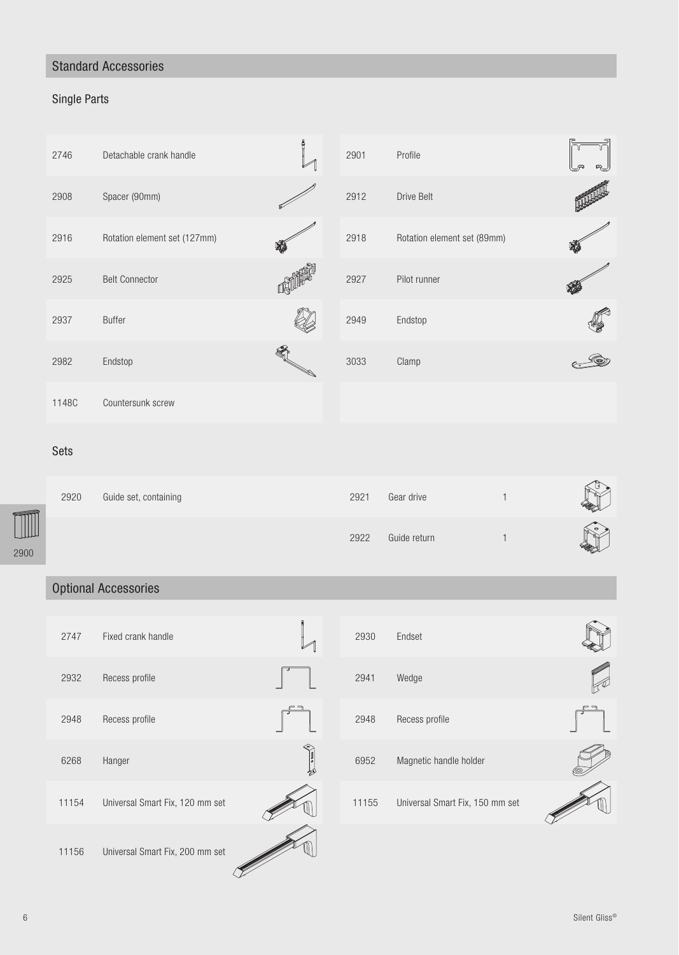# Standard Accessories

# Single Parts

| 2746  | Detachable crank handle      | å<br>$\mathcal{V}$ | 2901 | Profile                     |  |
|-------|------------------------------|--------------------|------|-----------------------------|--|
| 2908  | Spacer (90mm)                |                    | 2912 | Drive Belt                  |  |
| 2916  | Rotation element set (127mm) |                    | 2918 | Rotation element set (89mm) |  |
| 2925  | <b>Belt Connector</b>        |                    | 2927 | Pilot runner                |  |
| 2937  | <b>Buffer</b>                |                    | 2949 | Endstop                     |  |
| 2982  | Endstop                      |                    | 3033 | Clamp                       |  |
| 1148C | Countersunk screw            |                    |      |                             |  |

#### Sets

|       | 2920 | Guide set, containing | 2921 | Gear drive   |                 |
|-------|------|-----------------------|------|--------------|-----------------|
| سلللك |      |                       | 2922 | Guide return | $\circ$<br>Hope |
| 2900  |      |                       |      |              |                 |

# Optional Accessories

| 2747  | Fixed crank handle              |   | 2930  | Endset                          |
|-------|---------------------------------|---|-------|---------------------------------|
| 2932  | Recess profile                  |   | 2941  | Wedge                           |
| 2948  | Recess profile                  |   | 2948  | Recess profile                  |
| 6268  | Hanger                          | 奶 | 6952  | Magnetic handle holder          |
| 11154 | Universal Smart Fix, 120 mm set |   | 11155 | Universal Smart Fix, 150 mm set |
| 11156 | Universal Smart Fix, 200 mm set |   |       |                                 |

| 2930  | Endset                          |  |
|-------|---------------------------------|--|
| 2941  | Wedge                           |  |
| 2948  | Recess profile                  |  |
| 6952  | Magnetic handle holder          |  |
| 11155 | Universal Smart Fix, 150 mm set |  |